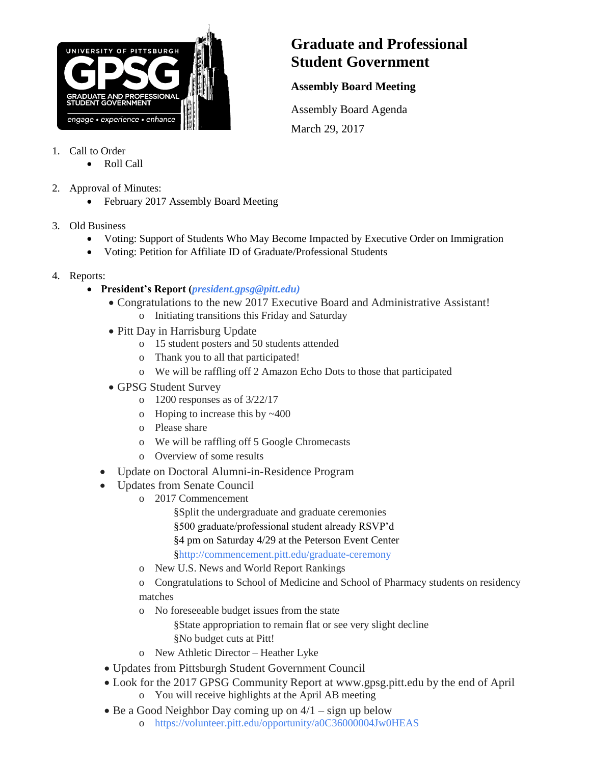

## **Graduate and Professional Student Government**

## **Assembly Board Meeting**

Assembly Board Agenda March 29, 2017

- 1. Call to Order
	- Roll Call
- 2. Approval of Minutes:
	- February 2017 Assembly Board Meeting
- 3. Old Business
	- Voting: Support of Students Who May Become Impacted by Executive Order on Immigration
		- Voting: Petition for Affiliate ID of Graduate/Professional Students
- 4. Reports:
	- **President's Report (***[president.gpsg@pitt.edu\)](mailto:president.gpsg@pitt.edu))*
		- Congratulations to the new 2017 Executive Board and Administrative Assistant! o Initiating transitions this Friday and Saturday
		- Pitt Day in Harrisburg Update
			- o 15 student posters and 50 students attended
			- o Thank you to all that participated!
			- o We will be raffling off 2 Amazon Echo Dots to those that participated
		- GPSG Student Survey
			- o 1200 responses as of 3/22/17
			- o Hoping to increase this by ~400
			- o Please share
			- o We will be raffling off 5 Google Chromecasts
			- o Overview of some results
		- Update on Doctoral Alumni-in-Residence Program
		- Updates from Senate Council
			- o 2017 Commencement
				- §Split the undergraduate and graduate ceremonies §500 graduate/professional student already RSVP'd §4 pm on Saturday 4/29 at the Peterson Event Center [§http://commencement.pitt.edu/graduate-ceremony](http://commencement.pitt.edu/graduate-ceremony)
			- o New U.S. News and World Report Rankings

o Congratulations to School of Medicine and School of Pharmacy students on residency matches

- o No foreseeable budget issues from the state
	- §State appropriation to remain flat or see very slight decline §No budget cuts at Pitt!
- o New Athletic Director Heather Lyke
- Updates from Pittsburgh Student Government Council
- Look for the 2017 GPSG Community Report at www.gpsg.pitt.edu by the end of April o You will receive highlights at the April AB meeting
- $\bullet$  Be a Good Neighbor Day coming up on  $4/1 -$  sign up below
	- o <https://volunteer.pitt.edu/opportunity/a0C36000004Jw0HEAS>